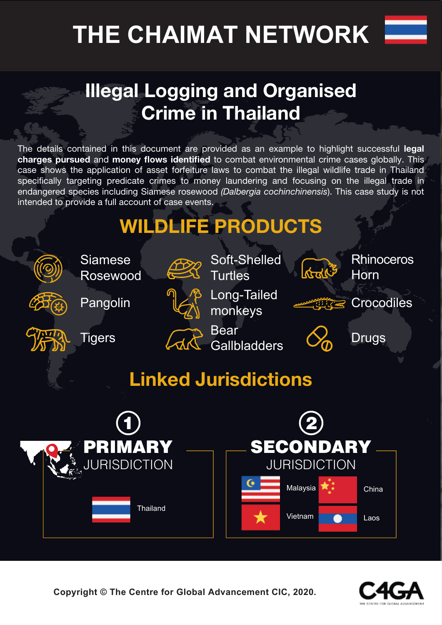# **THE CHAIMAT NETWORK**



### **Illegal Logging and Organised Crime in Thailand**

The details contained in this document are provided as an example to highlight successful **legal charges pursued** and **money flows identified** to combat environmental crime cases globally. This case shows the application of asset forfeiture laws to combat the illegal wildlife trade in Thailand specifically targeting predicate crimes to money laundering and focusing on the illegal trade in endangered species including Siamese rosewood *(Dalbergia cochinchinensis*). This case study is not intended to provide a full account of case events.

## **WILDLIFE PRODUCTS**



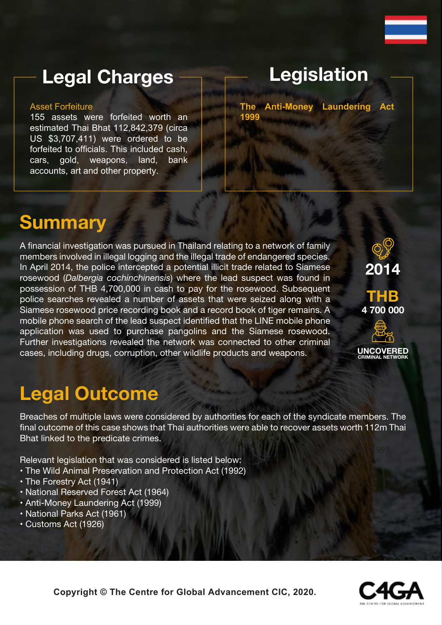### **Legal Charges**

#### Asset Forfeiture

155 assets were forfeited worth an estimated Thai Bhat 112,842,379 (circa US \$3,707,411) were ordered to be forfeited to officials. This included cash, cars, gold, weapons, land, bank accounts, art and other property.

### **Legislation**

**The Anti-Money Laundering Act 1999**

### **Summary**

A financial investigation was pursued in Thailand relating to a network of family members involved in illegal logging and the illegal trade of endangered species. In April 2014, the police intercepted a potential illicit trade related to Siamese rosewood (*Dalbergia cochinchinensis*) where the lead suspect was found in possession of THB 4,700,000 in cash to pay for the rosewood. Subsequent police searches revealed a number of assets that were seized along with a Siamese rosewood price recording book and a record book of tiger remains. A mobile phone search of the lead suspect identified that the LINE mobile phone application was used to purchase pangolins and the Siamese rosewood. Further investigations revealed the network was connected to other criminal cases, including drugs, corruption, other wildlife products and weapons.



**UNCOVERED CRIMINAL NETWORK**

### **Legal Outcome**

Breaches of multiple laws were considered by authorities for each of the syndicate members. The final outcome of this case shows that Thai authorities were able to recover assets worth 112m Thai Bhat linked to the predicate crimes.

Relevant legislation that was considered is listed below:

- The Wild Animal Preservation and Protection Act (1992)
- The Forestry Act (1941)
- National Reserved Forest Act (1964)
- Anti-Money Laundering Act (1999)
- National Parks Act (1961)
- Customs Act (1926)

**Copyright © The Centre for Global Advancement CIC, 2020.**

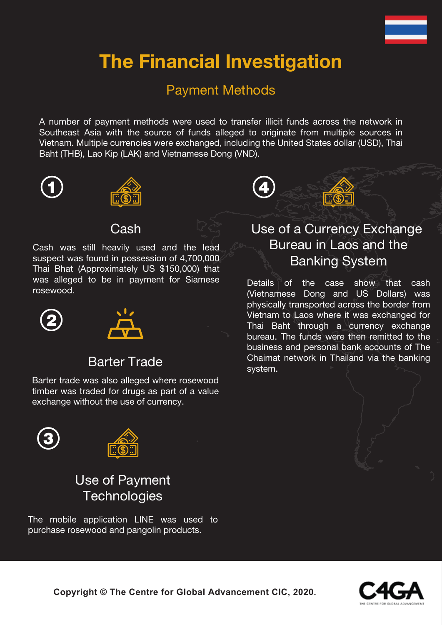### **The Financial Investigation**

#### Payment Methods

A number of payment methods were used to transfer illicit funds across the network in Southeast Asia with the source of funds alleged to originate from multiple sources in Vietnam. Multiple currencies were exchanged, including the United States dollar (USD), Thai Baht (THB), Lao Kip (LAK) and Vietnamese Dong (VND).





#### **Cash**

Cash was still heavily used and the lead suspect was found in possession of 4,700,000 Thai Bhat (Approximately US \$150,000) that was alleged to be in payment for Siamese rosewood.





#### Barter Trade

Barter trade was also alleged where rosewood timber was traded for drugs as part of a value exchange without the use of currency.





### Use of Payment **Technologies**

The mobile application LINE was used to purchase rosewood and pangolin products.



#### Use of a Currency Exchange Bureau in Laos and the Banking System

Details of the case show that cash (Vietnamese Dong and US Dollars) was physically transported across the border from Vietnam to Laos where it was exchanged for Thai Baht through a currency exchange bureau. The funds were then remitted to the business and personal bank accounts of The Chaimat network in Thailand via the banking system.



**Copyright © The Centre for Global Advancement CIC, 2020.**